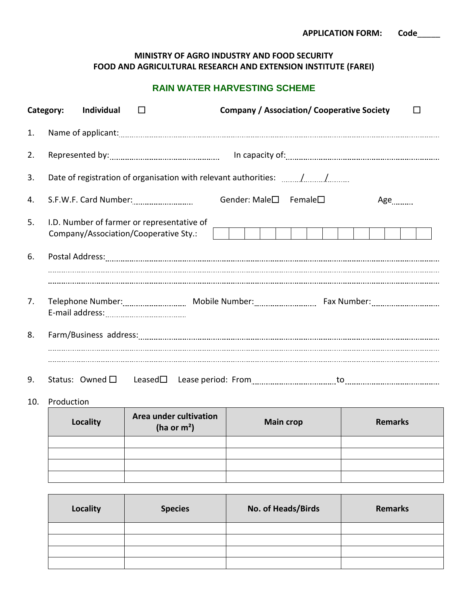## **MINISTRY OF AGRO INDUSTRY AND FOOD SECURITY FOOD AND AGRICULTURAL RESEARCH AND EXTENSION INSTITUTE (FAREI)**

## **RAIN WATER HARVESTING SCHEME**

|    | Category:<br>Individual<br>$\Box$                                                                                                                                                                                                                                                                                                                                                    |                                         | <b>Company / Association/ Cooperative Society</b> |     |
|----|--------------------------------------------------------------------------------------------------------------------------------------------------------------------------------------------------------------------------------------------------------------------------------------------------------------------------------------------------------------------------------------|-----------------------------------------|---------------------------------------------------|-----|
| 1. |                                                                                                                                                                                                                                                                                                                                                                                      |                                         |                                                   |     |
| 2. |                                                                                                                                                                                                                                                                                                                                                                                      |                                         |                                                   |     |
| 3. | Date of registration of organisation with relevant authorities: //                                                                                                                                                                                                                                                                                                                   |                                         |                                                   |     |
| 4. |                                                                                                                                                                                                                                                                                                                                                                                      | Gender: Male $\square$ Female $\square$ |                                                   | Age |
| 5. | I.D. Number of farmer or representative of<br>Company/Association/Cooperative Sty.:                                                                                                                                                                                                                                                                                                  |                                         |                                                   |     |
| 6. |                                                                                                                                                                                                                                                                                                                                                                                      |                                         |                                                   |     |
|    |                                                                                                                                                                                                                                                                                                                                                                                      |                                         |                                                   |     |
| 7. |                                                                                                                                                                                                                                                                                                                                                                                      |                                         |                                                   |     |
| 8. |                                                                                                                                                                                                                                                                                                                                                                                      |                                         |                                                   |     |
| 9. |                                                                                                                                                                                                                                                                                                                                                                                      |                                         |                                                   |     |
|    | $\overline{A}$ $\overline{A}$ $\overline{A}$ $\overline{A}$ $\overline{A}$ $\overline{A}$ $\overline{A}$ $\overline{A}$ $\overline{A}$ $\overline{A}$ $\overline{A}$ $\overline{A}$ $\overline{A}$ $\overline{A}$ $\overline{A}$ $\overline{A}$ $\overline{A}$ $\overline{A}$ $\overline{A}$ $\overline{A}$ $\overline{A}$ $\overline{A}$ $\overline{A}$ $\overline{A}$ $\overline{$ |                                         |                                                   |     |

10. Production

| <b>Locality</b> | Area under cultivation<br>(ha or $m2$ ) | <b>Main crop</b> | <b>Remarks</b> |
|-----------------|-----------------------------------------|------------------|----------------|
|                 |                                         |                  |                |
|                 |                                         |                  |                |
|                 |                                         |                  |                |
|                 |                                         |                  |                |

| <b>Locality</b> | <b>Species</b> | No. of Heads/Birds | <b>Remarks</b> |
|-----------------|----------------|--------------------|----------------|
|                 |                |                    |                |
|                 |                |                    |                |
|                 |                |                    |                |
|                 |                |                    |                |